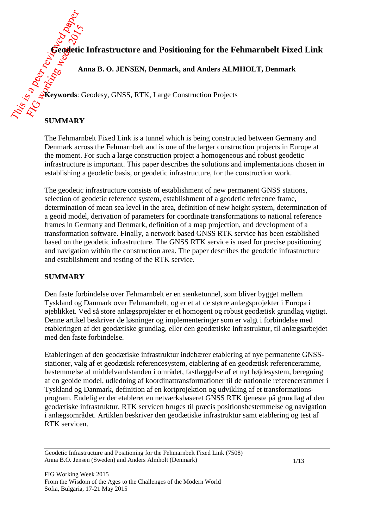**Geodetic Infrastructure and Positioning for the Fehmarnbelt Fixed Link** 

**Anna B. O. JENSEN, Denmark, and Anders ALMHOLT, Denmark**

**Keywords**: Geodesy, GNSS, RTK, Large Construction Projects

# **SUMMARY**

The Fehmarnbelt Fixed Link is a tunnel which is being constructed between Germany and Denmark across the Fehmarnbelt and is one of the larger construction projects in Europe at the moment. For such a large construction project a homogeneous and robust geodetic infrastructure is important. This paper describes the solutions and implementations chosen in establishing a geodetic basis, or geodetic infrastructure, for the construction work.

The geodetic infrastructure consists of establishment of new permanent GNSS stations, selection of geodetic reference system, establishment of a geodetic reference frame, determination of mean sea level in the area, definition of new height system, determination of a geoid model, derivation of parameters for coordinate transformations to national reference frames in Germany and Denmark, definition of a map projection, and development of a transformation software. Finally, a network based GNSS RTK service has been established based on the geodetic infrastructure. The GNSS RTK service is used for precise positioning and navigation within the construction area. The paper describes the geodetic infrastructure and establishment and testing of the RTK service.

# **SUMMARY**

Den faste forbindelse over Fehmarnbelt er en sænketunnel, som bliver bygget mellem Tyskland og Danmark over Fehmarnbelt, og er et af de større anlægsprojekter i Europa i øjeblikket. Ved så store anlægsprojekter er et homogent og robust geodætisk grundlag vigtigt. Denne artikel beskriver de løsninger og implementeringer som er valgt i forbindelse med etableringen af det geodætiske grundlag, eller den geodætiske infrastruktur, til anlægsarbejdet med den faste forbindelse.

Etableringen af den geodætiske infrastruktur indebærer etablering af nye permanente GNSSstationer, valg af et geodætisk referencesystem, etablering af en geodætisk referenceramme, bestemmelse af middelvandstanden i området, fastlæggelse af et nyt højdesystem, beregning af en geoide model, udledning af koordinattransformationer til de nationale referencerammer i Tyskland og Danmark, definition af en kortprojektion og udvikling af et transformationsprogram. Endelig er der etableret en netværksbaseret GNSS RTK tjeneste på grundlag af den geodætiske infrastruktur. RTK servicen bruges til præcis positionsbestemmelse og navigation i anlægsområdet. Artiklen beskriver den geodætiske infrastruktur samt etablering og test af RTK servicen.

Geodetic Infrastructure and Positioning for the Fehmarnbelt Fixed Link (7508) Anna B.O. Jensen (Sweden) and Anders Almholt (Denmark)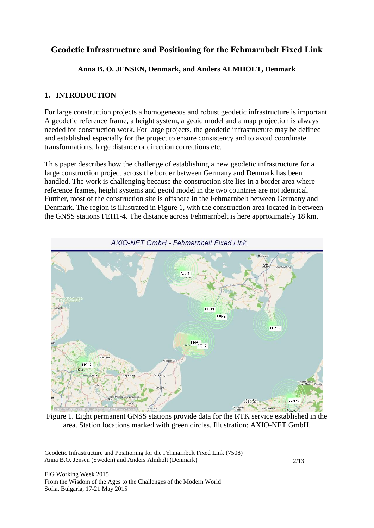# **Geodetic Infrastructure and Positioning for the Fehmarnbelt Fixed Link**

**Anna B. O. JENSEN, Denmark, and Anders ALMHOLT, Denmark**

### **1. INTRODUCTION**

For large construction projects a homogeneous and robust geodetic infrastructure is important. A geodetic reference frame, a height system, a geoid model and a map projection is always needed for construction work. For large projects, the geodetic infrastructure may be defined and established especially for the project to ensure consistency and to avoid coordinate transformations, large distance or direction corrections etc.

This paper describes how the challenge of establishing a new geodetic infrastructure for a large construction project across the border between Germany and Denmark has been handled. The work is challenging because the construction site lies in a border area where reference frames, height systems and geoid model in the two countries are not identical. Further, most of the construction site is offshore in the Fehmarnbelt between Germany and Denmark. The region is illustrated in Figure 1, with the construction area located in between the GNSS stations FEH1-4. The distance across Fehmarnbelt is here approximately 18 km.



Figure 1. Eight permanent GNSS stations provide data for the RTK service established in the area. Station locations marked with green circles. Illustration: AXIO-NET GmbH.

Geodetic Infrastructure and Positioning for the Fehmarnbelt Fixed Link (7508) Anna B.O. Jensen (Sweden) and Anders Almholt (Denmark)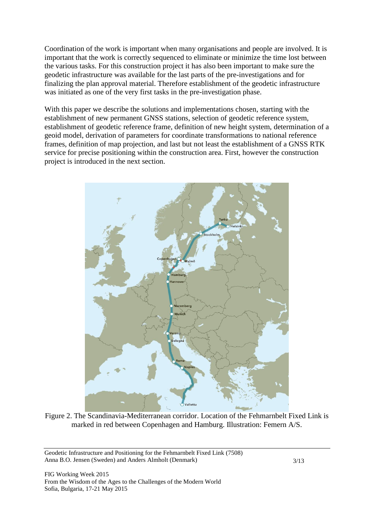Coordination of the work is important when many organisations and people are involved. It is important that the work is correctly sequenced to eliminate or minimize the time lost between the various tasks. For this construction project it has also been important to make sure the geodetic infrastructure was available for the last parts of the pre-investigations and for finalizing the plan approval material. Therefore establishment of the geodetic infrastructure was initiated as one of the very first tasks in the pre-investigation phase.

With this paper we describe the solutions and implementations chosen, starting with the establishment of new permanent GNSS stations, selection of geodetic reference system, establishment of geodetic reference frame, definition of new height system, determination of a geoid model, derivation of parameters for coordinate transformations to national reference frames, definition of map projection, and last but not least the establishment of a GNSS RTK service for precise positioning within the construction area. First, however the construction project is introduced in the next section.



Figure 2. The Scandinavia-Mediterranean corridor. Location of the Fehmarnbelt Fixed Link is marked in red between Copenhagen and Hamburg. Illustration: Femern A/S.

Geodetic Infrastructure and Positioning for the Fehmarnbelt Fixed Link (7508) Anna B.O. Jensen (Sweden) and Anders Almholt (Denmark)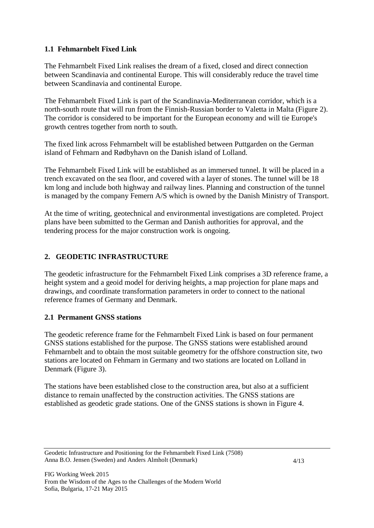### **1.1 Fehmarnbelt Fixed Link**

The Fehmarnbelt Fixed Link realises the dream of a fixed, closed and direct connection between Scandinavia and continental Europe. This will considerably reduce the travel time between Scandinavia and continental Europe.

The Fehmarnbelt Fixed Link is part of the Scandinavia-Mediterranean corridor, which is a north-south route that will run from the Finnish-Russian border to Valetta in Malta (Figure 2). The corridor is considered to be important for the European economy and will tie Europe's growth centres together from north to south.

The fixed link across Fehmarnbelt will be established between Puttgarden on the German island of Fehmarn and Rødbyhavn on the Danish island of Lolland.

The Fehmarnbelt Fixed Link will be established as an immersed tunnel. It will be placed in a trench excavated on the sea floor, and covered with a layer of stones. The tunnel will be 18 km long and include both highway and railway lines. Planning and construction of the tunnel is managed by the company Femern A/S which is owned by the Danish Ministry of Transport.

At the time of writing, geotechnical and environmental investigations are completed. Project plans have been submitted to the German and Danish authorities for approval, and the tendering process for the major construction work is ongoing.

# **2. GEODETIC INFRASTRUCTURE**

The geodetic infrastructure for the Fehmarnbelt Fixed Link comprises a 3D reference frame, a height system and a geoid model for deriving heights, a map projection for plane maps and drawings, and coordinate transformation parameters in order to connect to the national reference frames of Germany and Denmark.

### **2.1 Permanent GNSS stations**

The geodetic reference frame for the Fehmarnbelt Fixed Link is based on four permanent GNSS stations established for the purpose. The GNSS stations were established around Fehmarnbelt and to obtain the most suitable geometry for the offshore construction site, two stations are located on Fehmarn in Germany and two stations are located on Lolland in Denmark (Figure 3).

The stations have been established close to the construction area, but also at a sufficient distance to remain unaffected by the construction activities. The GNSS stations are established as geodetic grade stations. One of the GNSS stations is shown in Figure 4.

Geodetic Infrastructure and Positioning for the Fehmarnbelt Fixed Link (7508) Anna B.O. Jensen (Sweden) and Anders Almholt (Denmark)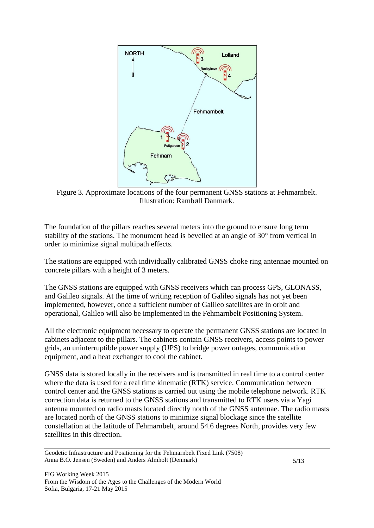

Figure 3. Approximate locations of the four permanent GNSS stations at Fehmarnbelt. Illustration: Rambøll Danmark.

The foundation of the pillars reaches several meters into the ground to ensure long term stability of the stations. The monument head is bevelled at an angle of 30° from vertical in order to minimize signal multipath effects.

The stations are equipped with individually calibrated GNSS choke ring antennae mounted on concrete pillars with a height of 3 meters.

The GNSS stations are equipped with GNSS receivers which can process GPS, GLONASS, and Galileo signals. At the time of writing reception of Galileo signals has not yet been implemented, however, once a sufficient number of Galileo satellites are in orbit and operational, Galileo will also be implemented in the Fehmarnbelt Positioning System.

All the electronic equipment necessary to operate the permanent GNSS stations are located in cabinets adjacent to the pillars. The cabinets contain GNSS receivers, access points to power grids, an uninterruptible power supply (UPS) to bridge power outages, communication equipment, and a heat exchanger to cool the cabinet.

GNSS data is stored locally in the receivers and is transmitted in real time to a control center where the data is used for a real time kinematic (RTK) service. Communication between control center and the GNSS stations is carried out using the mobile telephone network. RTK correction data is returned to the GNSS stations and transmitted to RTK users via a Yagi antenna mounted on radio masts located directly north of the GNSS antennae. The radio masts are located north of the GNSS stations to minimize signal blockage since the satellite constellation at the latitude of Fehmarnbelt, around 54.6 degrees North, provides very few satellites in this direction.

Geodetic Infrastructure and Positioning for the Fehmarnbelt Fixed Link (7508) Anna B.O. Jensen (Sweden) and Anders Almholt (Denmark)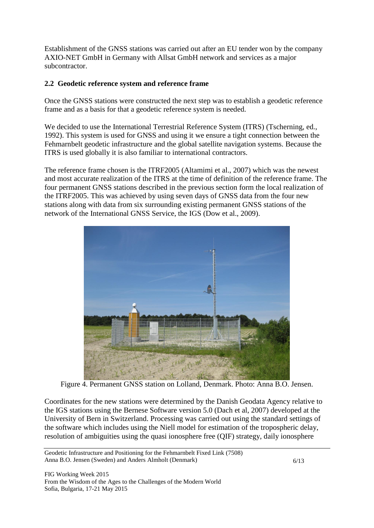Establishment of the GNSS stations was carried out after an EU tender won by the company AXIO-NET GmbH in Germany with Allsat GmbH network and services as a major subcontractor.

### **2.2 Geodetic reference system and reference frame**

Once the GNSS stations were constructed the next step was to establish a geodetic reference frame and as a basis for that a geodetic reference system is needed.

We decided to use the International Terrestrial Reference System (ITRS) (Tscherning, ed., 1992). This system is used for GNSS and using it we ensure a tight connection between the Fehmarnbelt geodetic infrastructure and the global satellite navigation systems. Because the ITRS is used globally it is also familiar to international contractors.

The reference frame chosen is the ITRF2005 (Altamimi et al., 2007) which was the newest and most accurate realization of the ITRS at the time of definition of the reference frame. The four permanent GNSS stations described in the previous section form the local realization of the ITRF2005. This was achieved by using seven days of GNSS data from the four new stations along with data from six surrounding existing permanent GNSS stations of the network of the International GNSS Service, the IGS (Dow et al., 2009).



Figure 4. Permanent GNSS station on Lolland, Denmark. Photo: Anna B.O. Jensen.

Coordinates for the new stations were determined by the Danish Geodata Agency relative to the IGS stations using the Bernese Software version 5.0 (Dach et al, 2007) developed at the University of Bern in Switzerland. Processing was carried out using the standard settings of the software which includes using the Niell model for estimation of the tropospheric delay, resolution of ambiguities using the quasi ionosphere free (QIF) strategy, daily ionosphere

Geodetic Infrastructure and Positioning for the Fehmarnbelt Fixed Link (7508) Anna B.O. Jensen (Sweden) and Anders Almholt (Denmark)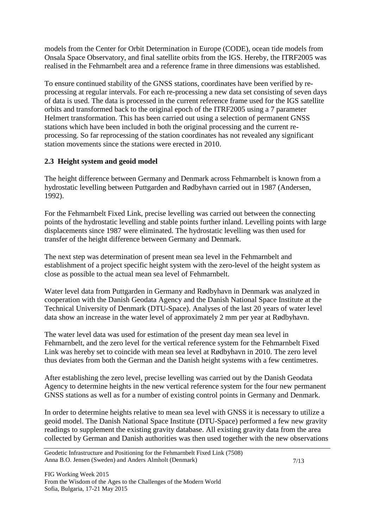models from the Center for Orbit Determination in Europe (CODE), ocean tide models from Onsala Space Observatory, and final satellite orbits from the IGS. Hereby, the ITRF2005 was realised in the Fehmarnbelt area and a reference frame in three dimensions was established.

To ensure continued stability of the GNSS stations, coordinates have been verified by reprocessing at regular intervals. For each re-processing a new data set consisting of seven days of data is used. The data is processed in the current reference frame used for the IGS satellite orbits and transformed back to the original epoch of the ITRF2005 using a 7 parameter Helmert transformation. This has been carried out using a selection of permanent GNSS stations which have been included in both the original processing and the current reprocessing. So far reprocessing of the station coordinates has not revealed any significant station movements since the stations were erected in 2010.

### **2.3 Height system and geoid model**

The height difference between Germany and Denmark across Fehmarnbelt is known from a hydrostatic levelling between Puttgarden and Rødbyhavn carried out in 1987 (Andersen, 1992).

For the Fehmarnbelt Fixed Link, precise levelling was carried out between the connecting points of the hydrostatic levelling and stable points further inland. Levelling points with large displacements since 1987 were eliminated. The hydrostatic levelling was then used for transfer of the height difference between Germany and Denmark.

The next step was determination of present mean sea level in the Fehmarnbelt and establishment of a project specific height system with the zero-level of the height system as close as possible to the actual mean sea level of Fehmarnbelt.

Water level data from Puttgarden in Germany and Rødbyhavn in Denmark was analyzed in cooperation with the Danish Geodata Agency and the Danish National Space Institute at the Technical University of Denmark (DTU-Space). Analyses of the last 20 years of water level data show an increase in the water level of approximately 2 mm per year at Rødbyhavn.

The water level data was used for estimation of the present day mean sea level in Fehmarnbelt, and the zero level for the vertical reference system for the Fehmarnbelt Fixed Link was hereby set to coincide with mean sea level at Rødbyhavn in 2010. The zero level thus deviates from both the German and the Danish height systems with a few centimetres.

After establishing the zero level, precise levelling was carried out by the Danish Geodata Agency to determine heights in the new vertical reference system for the four new permanent GNSS stations as well as for a number of existing control points in Germany and Denmark.

In order to determine heights relative to mean sea level with GNSS it is necessary to utilize a geoid model. The Danish National Space Institute (DTU-Space) performed a few new gravity readings to supplement the existing gravity database. All existing gravity data from the area collected by German and Danish authorities was then used together with the new observations

Geodetic Infrastructure and Positioning for the Fehmarnbelt Fixed Link (7508) Anna B.O. Jensen (Sweden) and Anders Almholt (Denmark)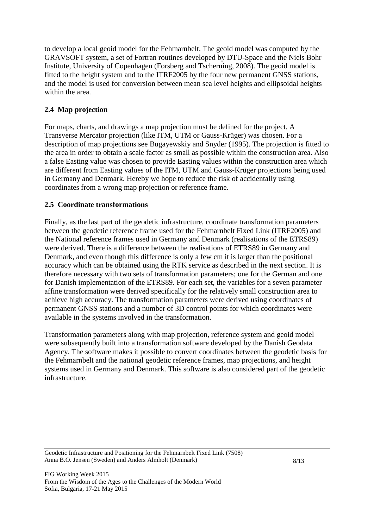to develop a local geoid model for the Fehmarnbelt. The geoid model was computed by the GRAVSOFT system, a set of Fortran routines developed by DTU-Space and the Niels Bohr Institute, University of Copenhagen (Forsberg and Tscherning, 2008). The geoid model is fitted to the height system and to the ITRF2005 by the four new permanent GNSS stations, and the model is used for conversion between mean sea level heights and ellipsoidal heights within the area.

# **2.4 Map projection**

For maps, charts, and drawings a map projection must be defined for the project. A Transverse Mercator projection (like ITM, UTM or Gauss-Krüger) was chosen. For a description of map projections see Bugayewskiy and Snyder (1995). The projection is fitted to the area in order to obtain a scale factor as small as possible within the construction area. Also a false Easting value was chosen to provide Easting values within the construction area which are different from Easting values of the ITM, UTM and Gauss-Krüger projections being used in Germany and Denmark. Hereby we hope to reduce the risk of accidentally using coordinates from a wrong map projection or reference frame.

# **2.5 Coordinate transformations**

Finally, as the last part of the geodetic infrastructure, coordinate transformation parameters between the geodetic reference frame used for the Fehmarnbelt Fixed Link (ITRF2005) and the National reference frames used in Germany and Denmark (realisations of the ETRS89) were derived. There is a difference between the realisations of ETRS89 in Germany and Denmark, and even though this difference is only a few cm it is larger than the positional accuracy which can be obtained using the RTK service as described in the next section. It is therefore necessary with two sets of transformation parameters; one for the German and one for Danish implementation of the ETRS89. For each set, the variables for a seven parameter affine transformation were derived specifically for the relatively small construction area to achieve high accuracy. The transformation parameters were derived using coordinates of permanent GNSS stations and a number of 3D control points for which coordinates were available in the systems involved in the transformation.

Transformation parameters along with map projection, reference system and geoid model were subsequently built into a transformation software developed by the Danish Geodata Agency. The software makes it possible to convert coordinates between the geodetic basis for the Fehmarnbelt and the national geodetic reference frames, map projections, and height systems used in Germany and Denmark. This software is also considered part of the geodetic infrastructure.

Geodetic Infrastructure and Positioning for the Fehmarnbelt Fixed Link (7508) Anna B.O. Jensen (Sweden) and Anders Almholt (Denmark)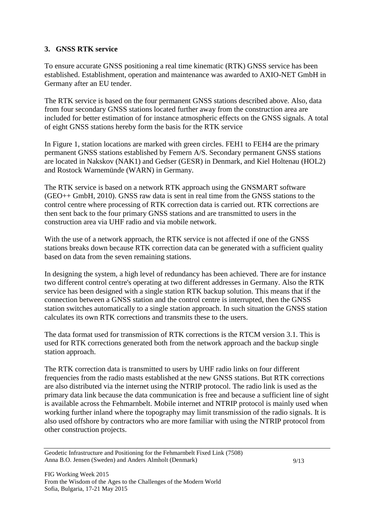### **3. GNSS RTK service**

To ensure accurate GNSS positioning a real time kinematic (RTK) GNSS service has been established. Establishment, operation and maintenance was awarded to AXIO-NET GmbH in Germany after an EU tender.

The RTK service is based on the four permanent GNSS stations described above. Also, data from four secondary GNSS stations located further away from the construction area are included for better estimation of for instance atmospheric effects on the GNSS signals. A total of eight GNSS stations hereby form the basis for the RTK service

In Figure 1, station locations are marked with green circles. FEH1 to FEH4 are the primary permanent GNSS stations established by Femern A/S. Secondary permanent GNSS stations are located in Nakskov (NAK1) and Gedser (GESR) in Denmark, and Kiel Holtenau (HOL2) and Rostock Warnemünde (WARN) in Germany.

The RTK service is based on a network RTK approach using the GNSMART software (GEO++ GmbH, 2010). GNSS raw data is sent in real time from the GNSS stations to the control centre where processing of RTK correction data is carried out. RTK corrections are then sent back to the four primary GNSS stations and are transmitted to users in the construction area via UHF radio and via mobile network.

With the use of a network approach, the RTK service is not affected if one of the GNSS stations breaks down because RTK correction data can be generated with a sufficient quality based on data from the seven remaining stations.

In designing the system, a high level of redundancy has been achieved. There are for instance two different control centre's operating at two different addresses in Germany. Also the RTK service has been designed with a single station RTK backup solution. This means that if the connection between a GNSS station and the control centre is interrupted, then the GNSS station switches automatically to a single station approach. In such situation the GNSS station calculates its own RTK corrections and transmits these to the users.

The data format used for transmission of RTK corrections is the RTCM version 3.1. This is used for RTK corrections generated both from the network approach and the backup single station approach.

The RTK correction data is transmitted to users by UHF radio links on four different frequencies from the radio masts established at the new GNSS stations. But RTK corrections are also distributed via the internet using the NTRIP protocol. The radio link is used as the primary data link because the data communication is free and because a sufficient line of sight is available across the Fehmarnbelt. Mobile internet and NTRIP protocol is mainly used when working further inland where the topography may limit transmission of the radio signals. It is also used offshore by contractors who are more familiar with using the NTRIP protocol from other construction projects.

Geodetic Infrastructure and Positioning for the Fehmarnbelt Fixed Link (7508) Anna B.O. Jensen (Sweden) and Anders Almholt (Denmark)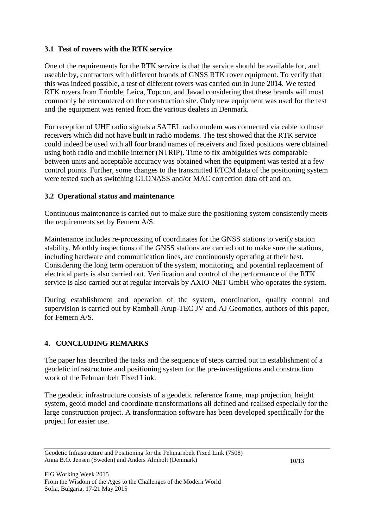### **3.1 Test of rovers with the RTK service**

One of the requirements for the RTK service is that the service should be available for, and useable by, contractors with different brands of GNSS RTK rover equipment. To verify that this was indeed possible, a test of different rovers was carried out in June 2014. We tested RTK rovers from Trimble, Leica, Topcon, and Javad considering that these brands will most commonly be encountered on the construction site. Only new equipment was used for the test and the equipment was rented from the various dealers in Denmark.

For reception of UHF radio signals a SATEL radio modem was connected via cable to those receivers which did not have built in radio modems. The test showed that the RTK service could indeed be used with all four brand names of receivers and fixed positions were obtained using both radio and mobile internet (NTRIP). Time to fix ambiguities was comparable between units and acceptable accuracy was obtained when the equipment was tested at a few control points. Further, some changes to the transmitted RTCM data of the positioning system were tested such as switching GLONASS and/or MAC correction data off and on.

### **3.2 Operational status and maintenance**

Continuous maintenance is carried out to make sure the positioning system consistently meets the requirements set by Femern A/S.

Maintenance includes re-processing of coordinates for the GNSS stations to verify station stability. Monthly inspections of the GNSS stations are carried out to make sure the stations, including hardware and communication lines, are continuously operating at their best. Considering the long term operation of the system, monitoring, and potential replacement of electrical parts is also carried out. Verification and control of the performance of the RTK service is also carried out at regular intervals by AXIO-NET GmbH who operates the system.

During establishment and operation of the system, coordination, quality control and supervision is carried out by Rambøll-Arup-TEC JV and AJ Geomatics, authors of this paper, for Femern A/S.

# **4. CONCLUDING REMARKS**

The paper has described the tasks and the sequence of steps carried out in establishment of a geodetic infrastructure and positioning system for the pre-investigations and construction work of the Fehmarnbelt Fixed Link.

The geodetic infrastructure consists of a geodetic reference frame, map projection, height system, geoid model and coordinate transformations all defined and realised especially for the large construction project. A transformation software has been developed specifically for the project for easier use.

Geodetic Infrastructure and Positioning for the Fehmarnbelt Fixed Link (7508) Anna B.O. Jensen (Sweden) and Anders Almholt (Denmark)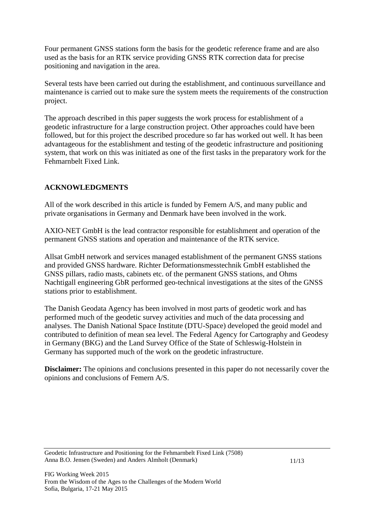Four permanent GNSS stations form the basis for the geodetic reference frame and are also used as the basis for an RTK service providing GNSS RTK correction data for precise positioning and navigation in the area.

Several tests have been carried out during the establishment, and continuous surveillance and maintenance is carried out to make sure the system meets the requirements of the construction project.

The approach described in this paper suggests the work process for establishment of a geodetic infrastructure for a large construction project. Other approaches could have been followed, but for this project the described procedure so far has worked out well. It has been advantageous for the establishment and testing of the geodetic infrastructure and positioning system, that work on this was initiated as one of the first tasks in the preparatory work for the Fehmarnbelt Fixed Link.

### **ACKNOWLEDGMENTS**

All of the work described in this article is funded by Femern A/S, and many public and private organisations in Germany and Denmark have been involved in the work.

AXIO-NET GmbH is the lead contractor responsible for establishment and operation of the permanent GNSS stations and operation and maintenance of the RTK service.

Allsat GmbH network and services managed establishment of the permanent GNSS stations and provided GNSS hardware. Richter Deformationsmesstechnik GmbH established the GNSS pillars, radio masts, cabinets etc. of the permanent GNSS stations, and Ohms Nachtigall engineering GbR performed geo-technical investigations at the sites of the GNSS stations prior to establishment.

The Danish Geodata Agency has been involved in most parts of geodetic work and has performed much of the geodetic survey activities and much of the data processing and analyses. The Danish National Space Institute (DTU-Space) developed the geoid model and contributed to definition of mean sea level. The Federal Agency for Cartography and Geodesy in Germany (BKG) and the Land Survey Office of the State of Schleswig-Holstein in Germany has supported much of the work on the geodetic infrastructure.

**Disclaimer:** The opinions and conclusions presented in this paper do not necessarily cover the opinions and conclusions of Femern A/S.

Geodetic Infrastructure and Positioning for the Fehmarnbelt Fixed Link (7508) Anna B.O. Jensen (Sweden) and Anders Almholt (Denmark)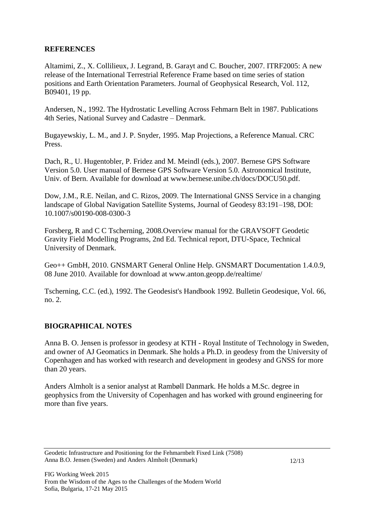### **REFERENCES**

Altamimi, Z., X. Collilieux, J. Legrand, B. Garayt and C. Boucher, 2007. ITRF2005: A new release of the International Terrestrial Reference Frame based on time series of station positions and Earth Orientation Parameters. Journal of Geophysical Research, Vol. 112, B09401, 19 pp.

Andersen, N., 1992. The Hydrostatic Levelling Across Fehmarn Belt in 1987. Publications 4th Series, National Survey and Cadastre – Denmark.

Bugayewskiy, L. M., and J. P. Snyder, 1995. Map Projections, a Reference Manual. CRC Press.

Dach, R., U. Hugentobler, P. Fridez and M. Meindl (eds.), 2007. Bernese GPS Software Version 5.0. User manual of Bernese GPS Software Version 5.0. Astronomical Institute, Univ. of Bern. Available for download at [www.bernese.unibe.ch/docs/DOCU50.pdf.](http://www.bernese.unibe.ch/docs/DOCU50.pdf)

Dow, J.M., R.E. Neilan, and C. Rizos, 2009. The International GNSS Service in a changing landscape of Global Navigation Satellite Systems, Journal of Geodesy 83:191–198, DOI: 10.1007/s00190-008-0300-3

Forsberg, R and C C Tscherning, 2008.Overview manual for the GRAVSOFT Geodetic Gravity Field Modelling Programs, 2nd Ed. Technical report, DTU-Space, Technical University of Denmark.

Geo++ GmbH, 2010. GNSMART General Online Help. GNSMART Documentation 1.4.0.9, 08 June 2010. Available for download at www.anton.geopp.de/realtime/

Tscherning, C.C. (ed.), 1992. The Geodesist's Handbook 1992. Bulletin Geodesique, Vol. 66, no. 2.

### **BIOGRAPHICAL NOTES**

Anna B. O. Jensen is professor in geodesy at KTH - Royal Institute of Technology in Sweden, and owner of AJ Geomatics in Denmark. She holds a Ph.D. in geodesy from the University of Copenhagen and has worked with research and development in geodesy and GNSS for more than 20 years.

Anders Almholt is a senior analyst at Rambøll Danmark. He holds a M.Sc. degree in geophysics from the University of Copenhagen and has worked with ground engineering for more than five years.

Geodetic Infrastructure and Positioning for the Fehmarnbelt Fixed Link (7508) Anna B.O. Jensen (Sweden) and Anders Almholt (Denmark)